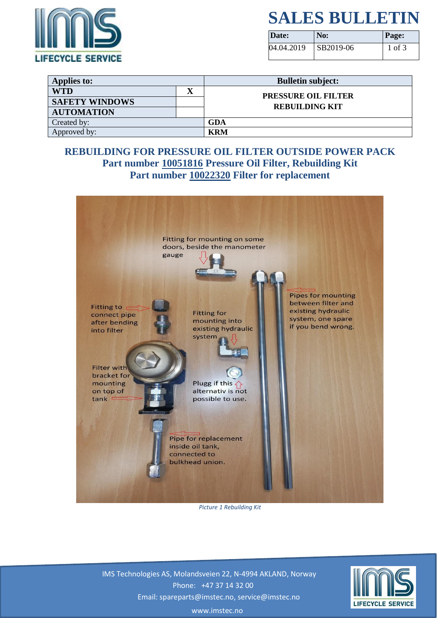

## **SALES BULLETIN**

| Date:      | No:       | <b>Page:</b> |
|------------|-----------|--------------|
| 04.04.2019 | SB2019-06 | 1 of 3       |

| <b>Applies to:</b>    |  | <b>Bulletin subject:</b>                            |  |
|-----------------------|--|-----------------------------------------------------|--|
| <b>WTD</b>            |  | <b>PRESSURE OIL FILTER</b><br><b>REBUILDING KIT</b> |  |
| <b>SAFETY WINDOWS</b> |  |                                                     |  |
| <b>AUTOMATION</b>     |  |                                                     |  |
| Created by:           |  | GDA                                                 |  |
| Approved by:          |  | <b>KRM</b>                                          |  |

### **REBUILDING FOR PRESSURE OIL FILTER OUTSIDE POWER PACK Part number 10051816 Pressure Oil Filter, Rebuilding Kit Part number 10022320 Filter for replacement**



*Picture 1 Rebuilding Kit*

 IMS Technologies AS, Molandsveien 22, N-4994 AKLAND, Norway Phone: +47 37 14 32 00 Email: spareparts@imstec.no, service@imstec.no



www.imstec.no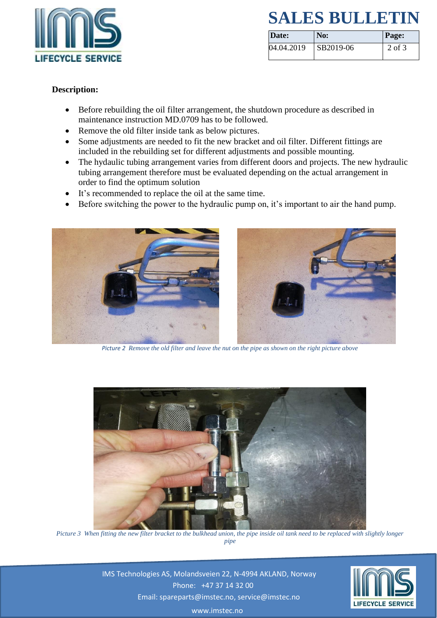

## **SALES BULLETIN**

| Date:      | No:              | <b>Page:</b> |
|------------|------------------|--------------|
| 04.04.2019 | <b>SB2019-06</b> | 2 of 3       |

#### **Description:**

- Before rebuilding the oil filter arrangement, the shutdown procedure as described in maintenance instruction MD.0709 has to be followed.
- Remove the old filter inside tank as below pictures.
- Some adjustments are needed to fit the new bracket and oil filter. Different fittings are included in the rebuilding set for different adjustments and possible mounting.
- The hydaulic tubing arrangement varies from different doors and projects. The new hydraulic tubing arrangement therefore must be evaluated depending on the actual arrangement in order to find the optimum solution
- It's recommended to replace the oil at the same time.
- Before switching the power to the hydraulic pump on, it's important to air the hand pump.



*Picture 2 Remove the old filter and leave the nut on the pipe as shown on the right picture above*



*Picture 3 When fitting the new filter bracket to the bulkhead union, the pipe inside oil tank need to be replaced with slightly longer pipe*

 IMS Technologies AS, Molandsveien 22, N-4994 AKLAND, Norway Phone: +47 37 14 32 00 Email: spareparts@imstec.no, service@imstec.no



www.imstec.no